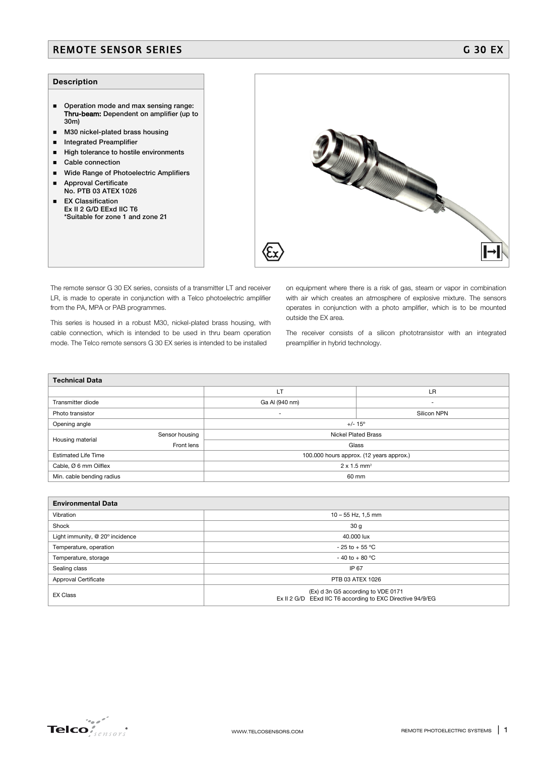## REMOTE SENSOR SERIES GALLERY AND CONTROLLER CONTROLLER CONTROLLER CONTROLLER CONTROLLER CONTROLLER CONTROLLER

## **Description**

- Operation mode and max sensing range: Thru-beam: Dependent on amplifier (up to 30m)
- $\blacksquare$  M30 nickel-plated brass housing
- **Integrated Preamplifier**
- High tolerance to hostile environments
- Cable connection
- **Wide Range of Photoelectric Amplifiers**
- **Approval Certificate**
- No. PTB 03 ATEX 1026 **EX Classification**
- Ex II 2 G/D EExd IIC T6 \*Suitable for zone 1 and zone 21

The remote sensor G 30 EX series, consists of a transmitter LT and receiver LR, is made to operate in conjunction with a Telco photoelectric amplifier from the PA, MPA or PAB programmes.

This series is housed in a robust M30, nickel-plated brass housing, with cable connection, which is intended to be used in thru beam operation mode. The Telco remote sensors G 30 EX series is intended to be installed

on equipment where there is a risk of gas, steam or vapor in combination with air which creates an atmosphere of explosive mixture. The sensors operates in conjunction with a photo amplifier, which is to be mounted outside the EX area.

The receiver consists of a silicon phototransistor with an integrated preamplifier in hybrid technology.

| <b>Technical Data</b>      |                |                                          |                          |  |  |  |
|----------------------------|----------------|------------------------------------------|--------------------------|--|--|--|
|                            |                | <b>LT</b>                                | LR                       |  |  |  |
| Transmitter diode          |                | Ga Al (940 nm)                           | $\overline{\phantom{a}}$ |  |  |  |
| Photo transistor           |                | $\overline{\phantom{a}}$                 | Silicon NPN              |  |  |  |
| Opening angle              |                | $+/- 15^{\circ}$                         |                          |  |  |  |
| Housing material           | Sensor housing | <b>Nickel Plated Brass</b>               |                          |  |  |  |
|                            | Front lens     | Glass                                    |                          |  |  |  |
| <b>Estimated Life Time</b> |                | 100.000 hours approx. (12 years approx.) |                          |  |  |  |
| Cable, Ø 6 mm Oilflex      |                | $2 \times 1.5$ mm <sup>2</sup>           |                          |  |  |  |
| Min. cable bending radius  |                | 60 mm                                    |                          |  |  |  |

| <b>Environmental Data</b>       |                                                                                                  |  |  |  |
|---------------------------------|--------------------------------------------------------------------------------------------------|--|--|--|
| Vibration                       | $10 - 55$ Hz, 1,5 mm                                                                             |  |  |  |
| Shock                           | 30 <sub>g</sub>                                                                                  |  |  |  |
| Light immunity, @ 20° incidence | 40.000 lux                                                                                       |  |  |  |
| Temperature, operation          | $-25$ to $+55$ °C                                                                                |  |  |  |
| Temperature, storage            | $-40$ to $+80$ °C                                                                                |  |  |  |
| Sealing class                   | IP 67                                                                                            |  |  |  |
| Approval Certificate            | PTB 03 ATEX 1026                                                                                 |  |  |  |
| <b>EX Class</b>                 | (Ex) d 3n G5 according to VDE 0171<br>Ex II 2 G/D EExd IIC T6 according to EXC Directive 94/9/EG |  |  |  |